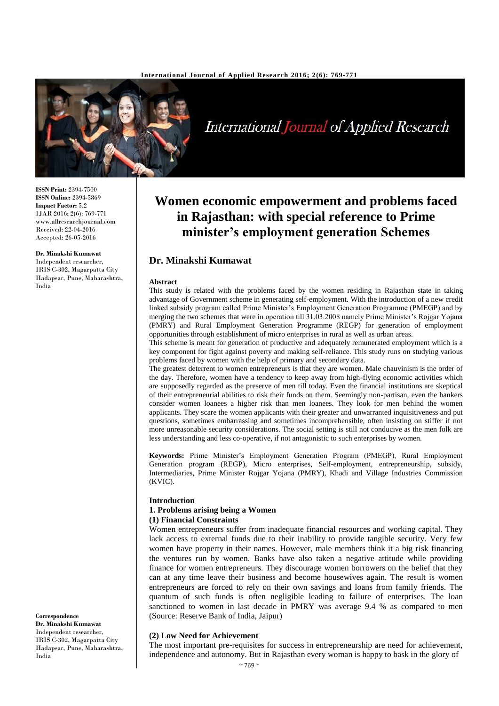

International Journal of Applied Research

**ISSN Print:** 2394-7500 **ISSN Online:** 2394-5869 **Impact Factor:** 5.2 IJAR 2016; 2(6): 769-771 www.allresearchjournal.com Received: 22-04-2016 Accepted: 26-05-2016

#### **Dr. Minakshi Kumawat**

Independent researcher, Hadapsar, Pune, Maharashtra,

IRIS C-302, Magarpatta City India

#### **Correspondence Dr. Minakshi Kumawat**

Independent researcher, IRIS C-302, Magarpatta City Hadapsar, Pune, Maharashtra, India

# **Women economic empowerment and problems faced in Rajasthan: with special reference to Prime minister's employment generation Schemes**

# **Dr. Minakshi Kumawat**

#### **Abstract**

This study is related with the problems faced by the women residing in Rajasthan state in taking advantage of Government scheme in generating self-employment. With the introduction of a new credit linked subsidy program called Prime Minister's Employment Generation Programme (PMEGP) and by merging the two schemes that were in operation till 31.03.2008 namely Prime Minister's Rojgar Yojana (PMRY) and Rural Employment Generation Programme (REGP) for generation of employment opportunities through establishment of micro enterprises in rural as well as urban areas.

This scheme is meant for generation of productive and adequately remunerated employment which is a key component for fight against poverty and making self-reliance. This study runs on studying various problems faced by women with the help of primary and secondary data.

The greatest deterrent to women entrepreneurs is that they are women. Male chauvinism is the order of the day. Therefore, women have a tendency to keep away from high-flying economic activities which are supposedly regarded as the preserve of men till today. Even the financial institutions are skeptical of their entrepreneurial abilities to risk their funds on them. Seemingly non-partisan, even the bankers consider women loanees a higher risk than men loanees. They look for men behind the women applicants. They scare the women applicants with their greater and unwarranted inquisitiveness and put questions, sometimes embarrassing and sometimes incomprehensible, often insisting on stiffer if not more unreasonable security considerations. The social setting is still not conducive as the men folk are less understanding and less co-operative, if not antagonistic to such enterprises by women.

**Keywords:** Prime Minister's Employment Generation Program (PMEGP), Rural Employment Generation program (REGP), Micro enterprises, Self-employment, entrepreneurship, subsidy, Intermediaries, Prime Minister Rojgar Yojana (PMRY), Khadi and Village Industries Commission (KVIC).

#### **Introduction**

# **1. Problems arising being a Women**

# **(1) Financial Constraints**

Women entrepreneurs suffer from inadequate financial resources and working capital. They lack access to external funds due to their inability to provide tangible security. Very few women have property in their names. However, male members think it a big risk financing the ventures run by women. Banks have also taken a negative attitude while providing finance for women entrepreneurs. They discourage women borrowers on the belief that they can at any time leave their business and become housewives again. The result is women entrepreneurs are forced to rely on their own savings and loans from family friends. The quantum of such funds is often negligible leading to failure of enterprises. The loan sanctioned to women in last decade in PMRY was average 9.4 % as compared to men (Source: Reserve Bank of India, Jaipur)

#### **(2) Low Need for Achievement**

The most important pre-requisites for success in entrepreneurship are need for achievement, independence and autonomy. But in Rajasthan every woman is happy to bask in the glory of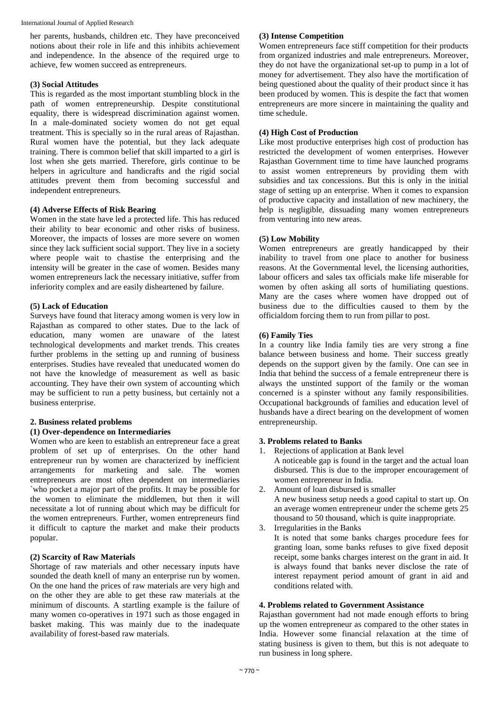her parents, husbands, children etc. They have preconceived notions about their role in life and this inhibits achievement and independence. In the absence of the required urge to achieve, few women succeed as entrepreneurs.

#### **(3) Social Attitudes**

This is regarded as the most important stumbling block in the path of women entrepreneurship. Despite constitutional equality, there is widespread discrimination against women. In a male-dominated society women do not get equal treatment. This is specially so in the rural areas of Rajasthan. Rural women have the potential, but they lack adequate training. There is common belief that skill imparted to a girl is lost when she gets married. Therefore, girls continue to be helpers in agriculture and handicrafts and the rigid social attitudes prevent them from becoming successful and independent entrepreneurs.

# **(4) Adverse Effects of Risk Bearing**

Women in the state have led a protected life. This has reduced their ability to bear economic and other risks of business. Moreover, the impacts of losses are more severe on women since they lack sufficient social support. They live in a society where people wait to chastise the enterprising and the intensity will be greater in the case of women. Besides many women entrepreneurs lack the necessary initiative, suffer from inferiority complex and are easily disheartened by failure.

# **(5) Lack of Education**

Surveys have found that literacy among women is very low in Rajasthan as compared to other states. Due to the lack of education, many women are unaware of the latest technological developments and market trends. This creates further problems in the setting up and running of business enterprises. Studies have revealed that uneducated women do not have the knowledge of measurement as well as basic accounting. They have their own system of accounting which may be sufficient to run a petty business, but certainly not a business enterprise.

# **2. Business related problems**

#### **(1) Over-dependence on Intermediaries**

Women who are keen to establish an entrepreneur face a great problem of set up of enterprises. On the other hand entrepreneur run by women are characterized by inefficient arrangements for marketing and sale. The women entrepreneurs are most often dependent on intermediaries `who pocket a major part of the profits. It may be possible for the women to eliminate the middlemen, but then it will necessitate a lot of running about which may be difficult for the women entrepreneurs. Further, women entrepreneurs find it difficult to capture the market and make their products popular.

# **(2) Scarcity of Raw Materials**

Shortage of raw materials and other necessary inputs have sounded the death knell of many an enterprise run by women. On the one hand the prices of raw materials are very high and on the other they are able to get these raw materials at the minimum of discounts. A startling example is the failure of many women co-operatives in 1971 such as those engaged in basket making. This was mainly due to the inadequate availability of forest-based raw materials.

#### **(3) Intense Competition**

Women entrepreneurs face stiff competition for their products from organized industries and male entrepreneurs. Moreover, they do not have the organizational set-up to pump in a lot of money for advertisement. They also have the mortification of being questioned about the quality of their product since it has been produced by women. This is despite the fact that women entrepreneurs are more sincere in maintaining the quality and time schedule.

# **(4) High Cost of Production**

Like most productive enterprises high cost of production has restricted the development of women enterprises. However Rajasthan Government time to time have launched programs to assist women entrepreneurs by providing them with subsidies and tax concessions. But this is only in the initial stage of setting up an enterprise. When it comes to expansion of productive capacity and installation of new machinery, the help is negligible, dissuading many women entrepreneurs from venturing into new areas.

# **(5) Low Mobility**

Women entrepreneurs are greatly handicapped by their inability to travel from one place to another for business reasons. At the Governmental level, the licensing authorities, labour officers and sales tax officials make life miserable for women by often asking all sorts of humiliating questions. Many are the cases where women have dropped out of business due to the difficulties caused to them by the officialdom forcing them to run from pillar to post.

#### **(6) Family Ties**

In a country like India family ties are very strong a fine balance between business and home. Their success greatly depends on the support given by the family. One can see in India that behind the success of a female entrepreneur there is always the unstinted support of the family or the woman concerned is a spinster without any family responsibilities. Occupational backgrounds of families and education level of husbands have a direct bearing on the development of women entrepreneurship.

#### **3. Problems related to Banks**

- 1. Rejections of application at Bank level A noticeable gap is found in the target and the actual loan disbursed. This is due to the improper encouragement of women entrepreneur in India.
- 2. Amount of loan disbursed is smaller A new business setup needs a good capital to start up. On an average women entrepreneur under the scheme gets 25 thousand to 50 thousand, which is quite inappropriate.
- 3. Irregularities in the Banks
	- It is noted that some banks charges procedure fees for granting loan, some banks refuses to give fixed deposit receipt, some banks charges interest on the grant in aid. It is always found that banks never disclose the rate of interest repayment period amount of grant in aid and conditions related with.

#### **4. Problems related to Government Assistance**

Rajasthan government had not made enough efforts to bring up the women entrepreneur as compared to the other states in India. However some financial relaxation at the time of stating business is given to them, but this is not adequate to run business in long sphere.